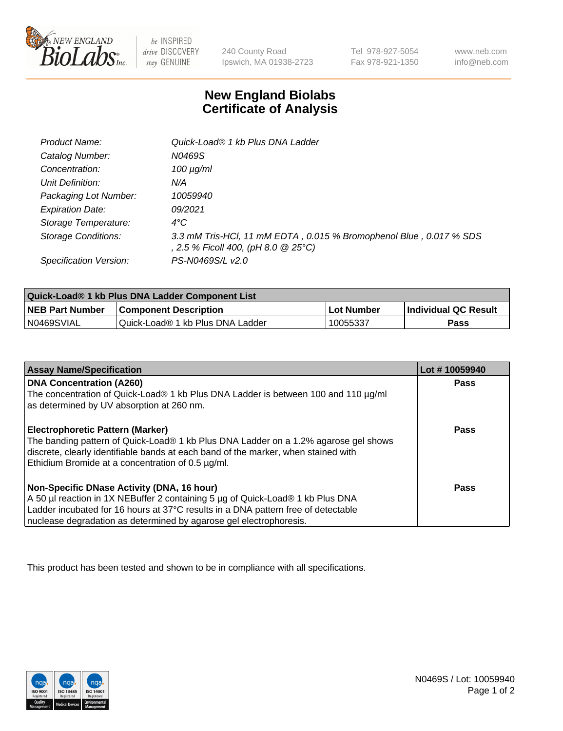

 $be$  INSPIRED drive DISCOVERY stay GENUINE

240 County Road Ipswich, MA 01938-2723 Tel 978-927-5054 Fax 978-921-1350 www.neb.com info@neb.com

## **New England Biolabs Certificate of Analysis**

| Product Name:              | Quick-Load® 1 kb Plus DNA Ladder                                                                          |
|----------------------------|-----------------------------------------------------------------------------------------------------------|
| Catalog Number:            | N0469S                                                                                                    |
| Concentration:             | $100 \mu g/ml$                                                                                            |
| Unit Definition:           | N/A                                                                                                       |
| Packaging Lot Number:      | 10059940                                                                                                  |
| <b>Expiration Date:</b>    | 09/2021                                                                                                   |
| Storage Temperature:       | $4^{\circ}$ C                                                                                             |
| <b>Storage Conditions:</b> | 3.3 mM Tris-HCl, 11 mM EDTA, 0.015 % Bromophenol Blue, 0.017 % SDS<br>, 2.5 % Ficoll 400, (pH 8.0 @ 25°C) |
| Specification Version:     | PS-N0469S/L v2.0                                                                                          |

| Quick-Load® 1 kb Plus DNA Ladder Component List |                                  |            |                             |  |
|-------------------------------------------------|----------------------------------|------------|-----------------------------|--|
| <b>NEB Part Number</b>                          | <b>Component Description</b>     | Lot Number | <b>Individual QC Result</b> |  |
| N0469SVIAL                                      | Quick-Load® 1 kb Plus DNA Ladder | 10055337   | Pass                        |  |

| <b>Assay Name/Specification</b>                                                                                                         | Lot #10059940 |
|-----------------------------------------------------------------------------------------------------------------------------------------|---------------|
| <b>DNA Concentration (A260)</b>                                                                                                         | <b>Pass</b>   |
| The concentration of Quick-Load® 1 kb Plus DNA Ladder is between 100 and 110 µg/ml<br>as determined by UV absorption at 260 nm.         |               |
| <b>Electrophoretic Pattern (Marker)</b>                                                                                                 | <b>Pass</b>   |
| The banding pattern of Quick-Load® 1 kb Plus DNA Ladder on a 1.2% agarose gel shows                                                     |               |
| discrete, clearly identifiable bands at each band of the marker, when stained with<br>Ethidium Bromide at a concentration of 0.5 µg/ml. |               |
| Non-Specific DNase Activity (DNA, 16 hour)                                                                                              | Pass          |
| A 50 µl reaction in 1X NEBuffer 2 containing 5 µg of Quick-Load® 1 kb Plus DNA                                                          |               |
| Ladder incubated for 16 hours at 37°C results in a DNA pattern free of detectable                                                       |               |
| nuclease degradation as determined by agarose gel electrophoresis.                                                                      |               |

This product has been tested and shown to be in compliance with all specifications.